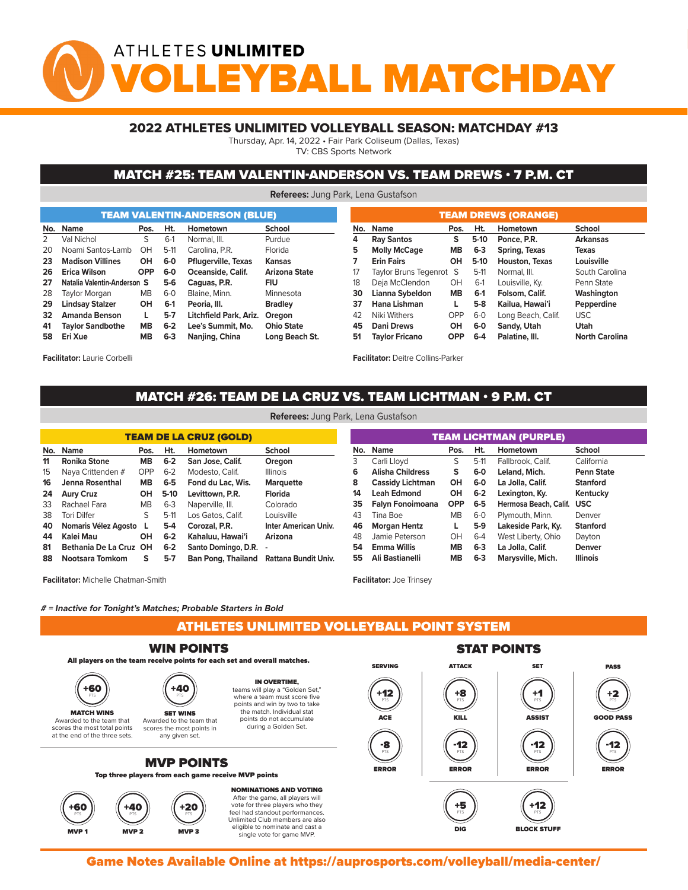# ATHLETES UNLIMITED YBALL MATCHDA

### 2022 ATHLETES UNLIMITED VOLLEYBALL SEASON: MATCHDAY #13

Thursday, Apr. 14, 2022 • Fair Park Coliseum (Dallas, Texas)

TV: CBS Sports Network

#### MATCH #25: TEAM VALENTIN-ANDERSON VS. TEAM DREWS • 7 P.M. CT

**Referees:** Jung Park, Lena Gustafson

|     |                             |             |         | <b>TEAM VALENTIN-ANDERSON (BLUE)</b> |                   |     | <b>TEAM DREWS (ORANGE)</b> |            |         |                       |                       |  |  |  |  |  |  |  |
|-----|-----------------------------|-------------|---------|--------------------------------------|-------------------|-----|----------------------------|------------|---------|-----------------------|-----------------------|--|--|--|--|--|--|--|
| No. | <b>Name</b>                 | Ht.<br>Pos. |         | Hometown                             | School            | No. | <b>Name</b>                | Pos.       | Ht.     | Hometown              | School                |  |  |  |  |  |  |  |
|     | Val Nichol                  | S           | $6-1$   | Normal, III.                         | Purdue            | 4   | <b>Ray Santos</b>          | s          | $5-10$  | Ponce, P.R.           | <b>Arkansas</b>       |  |  |  |  |  |  |  |
| 20  | Noami Santos-Lamb           | OH          | $5-11$  | Carolina, P.R.                       | Florida           | 5   | <b>Molly McCage</b>        | <b>MB</b>  | $6 - 3$ | Spring, Texas         | Texas                 |  |  |  |  |  |  |  |
| 23  | <b>Madison Villines</b>     | OH          | $6-0$   | <b>Pflugerville, Texas</b>           | Kansas            |     | <b>Erin Fairs</b>          | OH         | $5-10$  | <b>Houston, Texas</b> | Louisville            |  |  |  |  |  |  |  |
| 26  | Erica Wilson                | <b>OPP</b>  | $6-0$   | Oceanside, Calif.                    | Arizona State     | 17  | Taylor Bruns Tegenrot S    |            | $5-11$  | Normal, III.          | South Carolina        |  |  |  |  |  |  |  |
| 27  | Natalia Valentin-Anderson S |             | $5-6$   | Caguas, P.R.                         | <b>FIU</b>        | 18  | Deja McClendon             | OH         | $6-1$   | Louisville, Ky.       | Penn State            |  |  |  |  |  |  |  |
| 28  | Taylor Morgan               | <b>MB</b>   | $6 - 0$ | Blaine, Minn.                        | Minnesota         | 30  | Lianna Sybeldon            | <b>MB</b>  | $6-1$   | Folsom, Calif.        | Washington            |  |  |  |  |  |  |  |
| 29  | <b>Lindsay Stalzer</b>      | OH          | $6-1$   | Peoria, III.                         | <b>Bradley</b>    | 37  | Hana Lishman               |            | $5-8$   | Kailua, Hawai'i       | Pepperdine            |  |  |  |  |  |  |  |
| 32  | Amanda Benson               |             | $5 - 7$ | Litchfield Park, Ariz.               | Oregon            | 42  | Niki Withers               | <b>OPP</b> | $6-0$   | Long Beach, Calif.    | USC.                  |  |  |  |  |  |  |  |
| 41  | <b>Taylor Sandbothe</b>     | <b>MB</b>   | $6 - 2$ | Lee's Summit. Mo.                    | <b>Ohio State</b> | 45  | Dani Drews                 | OH         | $6-0$   | Sandy, Utah           | Utah                  |  |  |  |  |  |  |  |
| 58  | Eri Xue                     | MВ          | $6 - 3$ | Nanjing, China                       | Long Beach St.    | 51  | <b>Taylor Fricano</b>      | <b>OPP</b> | $6 - 4$ | Palatine, III.        | <b>North Carolina</b> |  |  |  |  |  |  |  |

**Facilitator:** Laurie Corbelli

**Facilitator:** Deitre Collins-Parker

## MATCH #26: TEAM DE LA CRUZ VS. TEAM LICHTMAN • 9 P.M. CT **Referees:** Jung Park, Lena Gustafson

|     |                        |                         |         | <b>TEAM DE LA CRUZ (GOLD)</b> |                             | <b>TEAM LICHTMAN (PURPLE)</b> |                         |            |         |                           |                   |  |  |  |  |
|-----|------------------------|-------------------------|---------|-------------------------------|-----------------------------|-------------------------------|-------------------------|------------|---------|---------------------------|-------------------|--|--|--|--|
| No. | <b>Name</b>            | Ht.<br>Pos.<br>Hometown |         |                               | <b>School</b>               |                               | No. Name                | Pos.       | Ht.     | Hometown                  | <b>School</b>     |  |  |  |  |
| 11  | Ronika Stone           | MB.                     | $6 - 2$ | San Jose, Calif.              | Oregon                      |                               | Carli Llovd             | S          | $5-11$  | Fallbrook, Calif.         | California        |  |  |  |  |
| 15  | Naya Crittenden #      | OPP                     | $6 - 2$ | Modesto, Calif.               | <b>Illinois</b>             | 6                             | <b>Alisha Childress</b> | S.         | $6-0$   | Leland, Mich.             | <b>Penn State</b> |  |  |  |  |
| 16  | Jenna Rosenthal        | MB.                     | 6-5     | Fond du Lac. Wis.             | <b>Marquette</b>            | 8                             | <b>Cassidy Lichtman</b> | OH         | 6-0     | La Jolla, Calif.          | <b>Stanford</b>   |  |  |  |  |
| 24  | <b>Aury Cruz</b>       | OН                      | $5-10$  | Levittown, P.R.               | Florida                     | 14                            | <b>Leah Edmond</b>      | OH         | $6 - 2$ | Lexington, Ky.            | Kentucky          |  |  |  |  |
| 33  | Rachael Fara           | МB                      | $6 - 3$ | Naperville, III.              | Colorado                    | 35                            | Falyn Fonoimoana        | <b>OPP</b> | $6 - 5$ | Hermosa Beach, Calif. USC |                   |  |  |  |  |
| 38  | Tori Dilfer            | S                       | $5-11$  | Los Gatos, Calif.             | Louisville                  | 43                            | Tina Boe                | <b>MB</b>  | $6-0$   | Plymouth, Minn.           | Denver            |  |  |  |  |
| 40  | Nomaris Vélez Agosto   |                         | $5-4$   | Corozal, P.R.                 | <b>Inter American Univ.</b> | 46                            | <b>Morgan Hentz</b>     | L          | $5-9$   | Lakeside Park, Ky.        | <b>Stanford</b>   |  |  |  |  |
| 44  | Kalei Mau              | <b>OH</b>               | $6 - 2$ | Kahaluu, Hawai'i              | Arizona                     | 48                            | Jamie Peterson          | OН         | $6 - 4$ | West Liberty, Ohio        | Dayton            |  |  |  |  |
| 81  | Bethania De La Cruz OH |                         | $6 - 2$ | Santo Domingo, D.R.           |                             | 54                            | Emma Willis             | <b>MB</b>  | $6 - 3$ | La Jolla, Calif.          | <b>Denver</b>     |  |  |  |  |
| 88  | Nootsara Tomkom        | s                       | $5 - 7$ | <b>Ban Pong, Thailand</b>     | Rattana Bundit Univ.        | 55                            | Ali Bastianelli         | MВ         | $6-3$   | Marysville, Mich.         | <b>Illinois</b>   |  |  |  |  |

**Facilitator:** Michelle Chatman-Smith

**Facilitator:** Joe Trinsey

MVP 2 MVP 2 MVP 3 MVP 3 MVP 3 MVP 3 MVP 3 MVP 3 MVP 3 MVP 3 MVP 3 MVP 3 MVP 3 MVP 3 MVP 3 MVP 3 MVP 3 MVP 3 MV

single vote for game MVP.

#### **# = Inactive for Tonight's Matches; Probable Starters in Bold**

ATHLETES UNLIMITED VOLLEYBALL POINT SYSTEM



Game Notes Available Online at https://auprosports.com/volleyball/media-center/<br>.